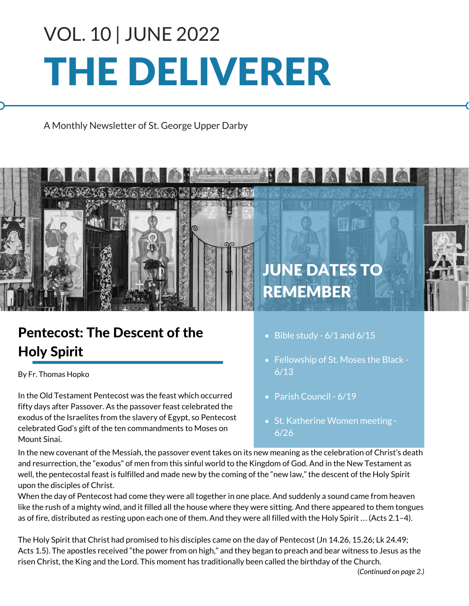# THE DELIVERER VOL. 10 | JUNE 2022

A Monthly Newsletter of St. George Upper Darby



## Pentecost: The Descent of the Holy Spirit

By Fr. Thomas Hopko

In the Old Testament Pentecost was the feast which occurred fifty days after Passover. As the passover feast celebrated the exodus of the Israelites from the slavery of Egypt, so Pentecost celebrated God's gift of the ten commandments to Moses on Mount Sinai.

- $\bullet$  Bible study 6/1 and 6/15
- Fellowship of St. Moses the Black -6/13
- Parish Council 6/19
- St. Katherine Women meeting -6/26

In the new covenant of the Messiah, the passover event takes on its new meaning as the celebration of Christ's death and resurrection, the "exodus" of men from this sinful world to the Kingdom of God. And in the New Testament as well, the pentecostal feast is fulfilled and made new by the coming of the "new law," the descent of the Holy Spirit upon the disciples of Christ.

When the day of Pentecost had come they were all together in one place. And suddenly a sound came from heaven like the rush of a mighty wind, and it filled all the house where they were sitting. And there appeared to them tongues as of fire, distributed as resting upon each one of them. And they were all filled with the Holy Spirit ... (Acts 2.1–4).

The Holy Spirit that Christ had promised to his disciples came on the day of Pentecost (Jn 14.26, 15.26; Lk 24.49; Acts 1.5). The apostles received "the power from on high," and they began to preach and bear witness to Jesus as the risen Christ, the King and the Lord. This moment has traditionally been called the birthday of the Church.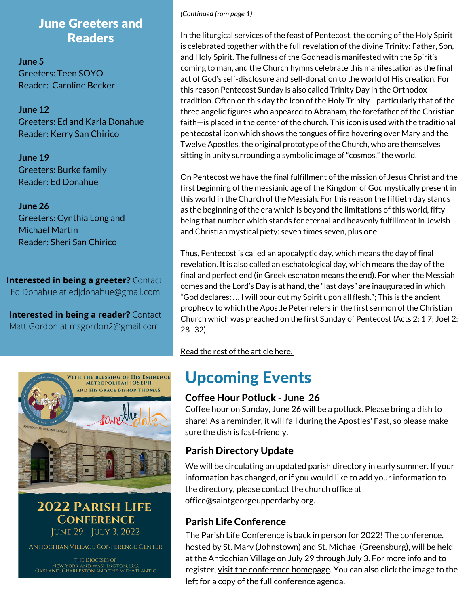#### June Greeters and Readers

**June 5** Greeters: Teen SOYO Reader: Caroline Becker

**June 12** Greeters: Ed and Karla Donahue Reader: Kerry San Chirico

**June 19** Greeters: Burke family Reader: Ed Donahue

**June 26** Greeters: Cynthia Long and Michael Martin Reader: Sheri San Chirico

**Interested in being a greeter?** Contact Ed Donahue at edjdonahue@gmail.com

**Interested in being a reader?** Contact Matt Gordon at msgordon2@gmail.com



**2022 PARISH LIFE CONFERENCE** JUNE 29 - JULY 3, 2022

ANTIOCHIAN VILLAGE CONFERENCE CENTER

THE DIOCESES OF NEW YORK AND WASHINGTON, D.C.<br>OAKLAND, CHARLESTON AND THE MID-ATLANTIC

#### *(Continued from page 1)*

In the liturgical services of the feast of Pentecost, the coming of the Holy Spirit is celebrated together with the full revelation of the divine Trinity: Father, Son, and Holy Spirit. The fullness of the Godhead is manifested with the Spirit's coming to man, and the Church hymns celebrate this manifestation as the final act of God's self-disclosure and self-donation to the world of His creation. For this reason Pentecost Sunday is also called Trinity Day in the Orthodox tradition. Often on this day the icon of the Holy Trinity—particularly that of the three angelic figures who appeared to Abraham, the forefather of the Christian faith—is placed in the center of the church. This icon is used with the traditional pentecostal icon which shows the tongues of fire hovering over Mary and the Twelve Apostles, the original prototype of the Church, who are themselves sitting in unity surrounding a symbolic image of "cosmos," the world.

On Pentecost we have the final fulfillment of the mission of Jesus Christ and the first beginning of the messianic age of the Kingdom of God mystically present in this world in the Church of the Messiah. For this reason the fiftieth day stands as the beginning of the era which is beyond the limitations of this world, fifty being that number which stands for eternal and heavenly fulfillment in Jewish and Christian mystical piety: seven times seven, plus one.

Thus, Pentecost is called an apocalyptic day, which means the day of final revelation. It is also called an eschatological day, which means the day of the final and perfect end (in Greek eschaton means the end). For when the Messiah comes and the Lord's Day is at hand, the "last days" are inaugurated in which "God declares: ... I will pour out my Spirit upon all flesh."; This is the ancient prophecy to which the Apostle Peter refers in the first sermon of the Christian Church which was preached on the first Sunday of Pentecost (Acts 2: 1 7; Joel 2: 28–32).

Read the rest of the [article](https://www.oca.org/orthodoxy/the-orthodox-faith/worship/the-church-year/pentecost-the-descent-of-the-holy-spirit) here.

## Upcoming Events

#### **Coffee Hour Potluck - June 26**

Coffee hour on Sunday, June 26 will be a potluck. Please bring a dish to share! As a reminder, it will fall during the Apostles' Fast, so please make sure the dish is fast-friendly.

#### **Parish Directory Update**

We will be circulating an updated parish directory in early summer. If your information has changed, or if you would like to add your information to the directory, please contact the church office at [office@saintgeorgeupperdarby.org.](mailto:office@saintgeorgeupperdarby.org)

#### **Parish Life Conference**

The Parish Life Conference is back in person for 2022! The conference, hosted by St. Mary (Johnstown) and St. Michael (Greensburg), will be held at the Antiochian Village on July 29 through July 3. For more info and to register, <u>visit the [conference](https://www.antiochianevents.com/ny) homepage</u>. You can also click the image to the left for a copy of the full conference agenda.